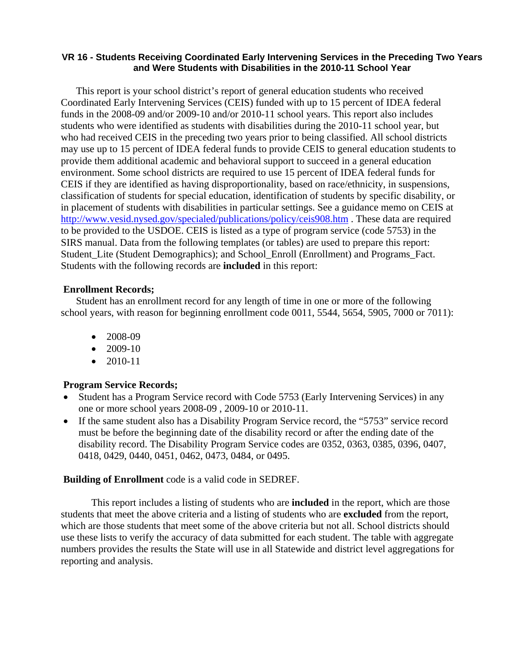### **VR 16 - Students Receiving Coordinated Early Intervening Services in the Preceding Two Years and Were Students with Disabilities in the 2010-11 School Year**

This report is your school district's report of general education students who received Coordinated Early Intervening Services (CEIS) funded with up to 15 percent of IDEA federal funds in the 2008-09 and/or 2009-10 and/or 2010-11 school years. This report also includes students who were identified as students with disabilities during the 2010-11 school year, but who had received CEIS in the preceding two years prior to being classified. All school districts may use up to 15 percent of IDEA federal funds to provide CEIS to general education students to provide them additional academic and behavioral support to succeed in a general education environment. Some school districts are required to use 15 percent of IDEA federal funds for CEIS if they are identified as having disproportionality, based on race/ethnicity, in suspensions, classification of students for special education, identification of students by specific disability, or in placement of students with disabilities in particular settings. See a guidance memo on CEIS at http://www.vesid.nysed.gov/specialed/publications/policy/ceis908.htm . These data are required to be provided to the USDOE. CEIS is listed as a type of program service (code 5753) in the SIRS manual. Data from the following templates (or tables) are used to prepare this report: Student\_Lite (Student Demographics); and School\_Enroll (Enrollment) and Programs\_Fact. Students with the following records are **included** in this report:

## **Enrollment Records;**

Student has an enrollment record for any length of time in one or more of the following school years, with reason for beginning enrollment code 0011, 5544, 5654, 5905, 7000 or 7011):

- 2008-09
- 2009-10
- 2010-11

## **Program Service Records;**

- Student has a Program Service record with Code 5753 (Early Intervening Services) in any one or more school years 2008-09 , 2009-10 or 2010-11.
- If the same student also has a Disability Program Service record, the "5753" service record must be before the beginning date of the disability record or after the ending date of the disability record. The Disability Program Service codes are 0352, 0363, 0385, 0396, 0407, 0418, 0429, 0440, 0451, 0462, 0473, 0484, or 0495.

#### **Building of Enrollment** code is a valid code in SEDREF.

 This report includes a listing of students who are **included** in the report, which are those students that meet the above criteria and a listing of students who are **excluded** from the report, which are those students that meet some of the above criteria but not all. School districts should use these lists to verify the accuracy of data submitted for each student. The table with aggregate numbers provides the results the State will use in all Statewide and district level aggregations for reporting and analysis.